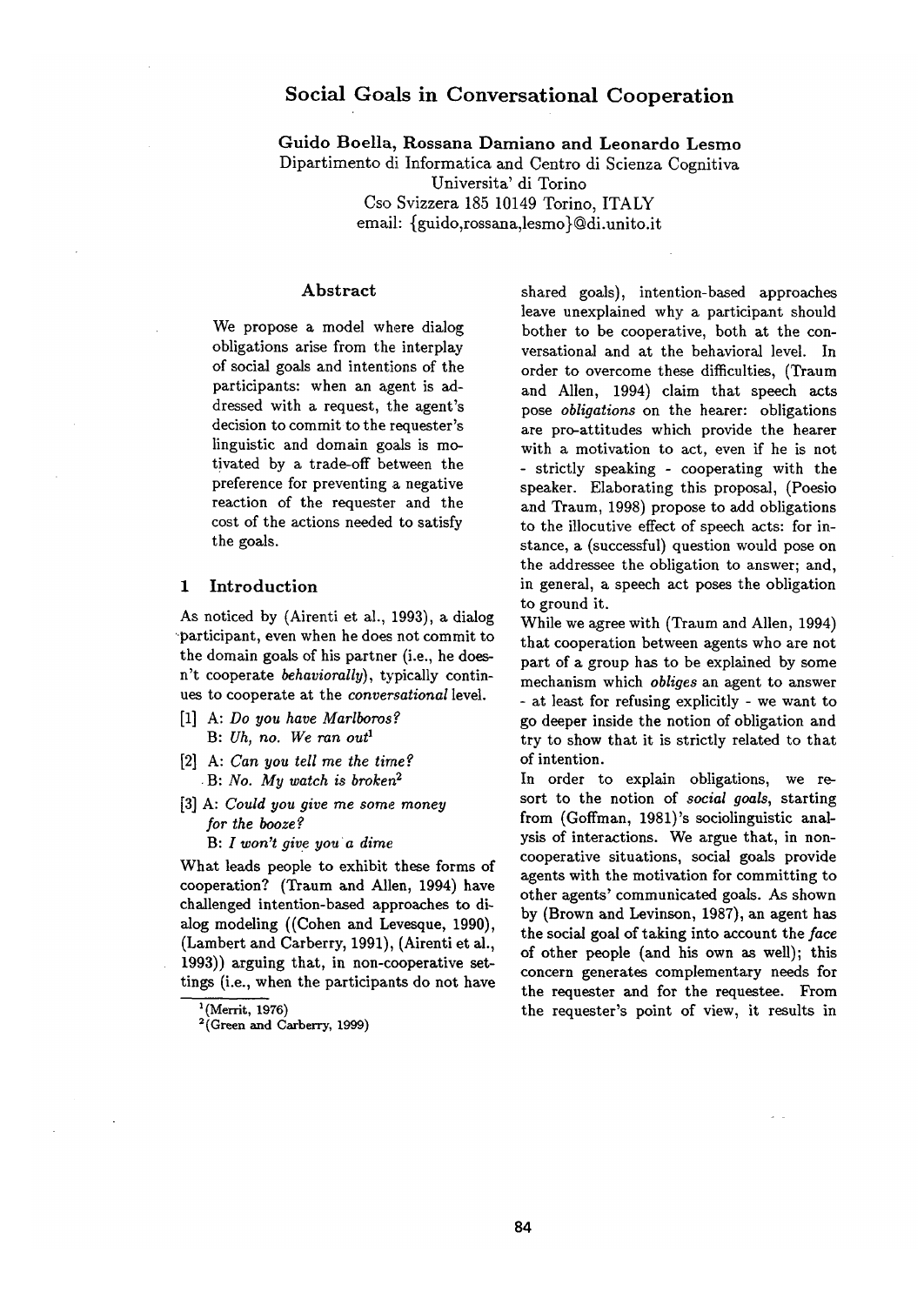# **Social Goals in Conversational Cooperation**

Guido Boella, Rossana Damiano and Leonardo Lesmo Dipartimento dii informatica and Centro di Scienza Cognitiva Universita' di Torino Cso Svizzera 185 10149 Torino, ITALY email: {guido,rossana,lesmo}@di.unito.it

## Abstract

We propose a model where dialog obligations arise from the interplay of social goals and intentions of the participants: when an agent is addressed with a request, the agent's decision to commit to the requester's linguistic and domain goals is motivated by a trade-off between the preference for preventing a negative reaction of the requester and the cost of the actions needed to satisfy the goals.

## 1 Introduction

As noticed by (Airenti et al., 1993), a dialog .participant, even when he does not commit to the domain goals of his partner (i.e., he doesn't cooperate *behaviorally),* typically continues to cooperate at the *conversational* level.

- [1] A: *Do you have Marlboros?*  B: Uh, no. We ran out<sup>1</sup>
- [2] A: *Can you tell me the time?*  **B:** *No. My watch is broken*<sup>2</sup>
- [3] A: *Could you give me some money for the booze?* 
	- B: *I won't give you a dime*

What leads people to exhibit these forms of cooperation? (Traum and Allen, 1994) have challenged intention-based approaches to dialog modeling ((Cohen and Levesque, 1990), (Lambert and Carberry, 1991), (Airenti et al., 1993)) arguing that, in non-cooperative settings (i.e., when the participants do not have

shared goals), intention-based approaches leave unexplained why a participant should bother to be cooperative, both at the conversational and at the behavioral level. In order to overcome these difficulties, (Traum and Allen, 1994) claim that speech acts pose *obligations* on the hearer: obligations are pro-attitudes which provide the hearer with a motivation to act, even if he is not - strictly speaking - cooperating with the speaker. Elaborating this proposal, (Poesio and Traum, 1998) propose to add obligations to the illocutive effect of speech acts: for instance, a (successful) question would pose on the addressee the obligation to answer; and, in general, a speech act poses the obligation to ground it.

While we agree with (Traum and Allen, 1994) that cooperation between agents who are not part of a group has to be explained by some mechanism which *obliges* an agent to answer **-** at least for refusing explicitly - we want to go deeper inside the notion of obligation and try to show that it is strictly related to that of intention.

In order to explain obligations, we resort to the notion of *social goals,* starting from (Goffman, 1981)'s sociolinguistic analysis of interactions. We argue that, in noncooperative situations, social goals provide agents with the motivation for committing to other agents' communicated goals. As shown by (Brown and Levinson, 1987), an agent has the social goal of taking into account the *face*  of other people (and his own as well); this concern generates complementary needs for the requester and for the requestee. From the requester's point of view, it results in

 $\frac{1}{1}$ (Merrit, 1976)

 $2$ (Green and Carberry, 1999)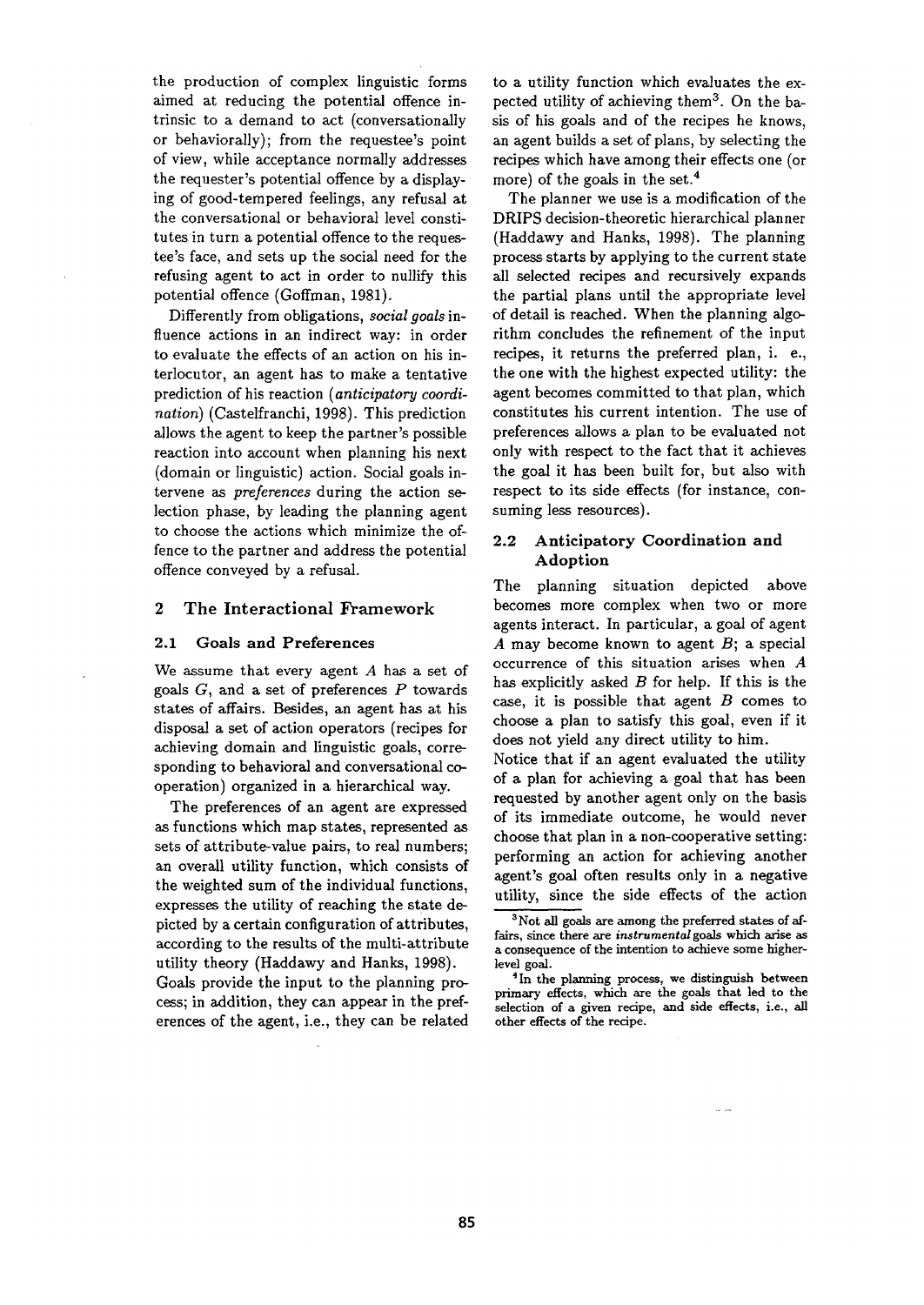the production of complex linguistic forms aimed at reducing the potential offence intrinsic to a demand to act (conversationally or behaviorally); from the requestee's point of view, while acceptance normally addresses the requester's potential offence by a displaying of good-tempered feelings, any refusal at the conversational or behavioral level constitutes in turn a potential offence to the requestee's face, and sets up the social need for the refusing agent to act in order to nullify this potential offence (Goffman, 1981).

Differently from obligations, *social goals* influence actions in an indirect way: in order to evaluate the effects of an action on his interlocutor, an agent has to make a tentative prediction of his reaction *(anticipatory coordination)* (Castelfranchi, 1998). This prediction allows the agent to keep the partner's possible reaction into account when planning his next (domain or linguistic) action. Social goals intervene as *preferences* during the action selection phase, by leading the planning agent to choose the actions which minimize the offence to the partner and address the potential offence conveyed by a refusal.

## 2 The Interactional Framework

#### 2.1 Goals and Preferences

We assume that every agent  $A$  has a set of goals  $G$ , and a set of preferences  $P$  towards states of affairs. Besides, an agent has at his disposal a set of action operators (recipes for achieving domain and linguistic goals, corresponding to behavioral and conversational cooperation) organized in a hierarchical way.

The preferences of an agent are expressed as functions which map states, represented as sets of attribute-value pairs, to real numbers; an overall utility function, which consists of the weighted sum of the individual functions, expresses the utility of reaching the state depicted by a certain configuration of attributes, according to the results of the multi-attribute utility theory (Haddawy and Hanks, 1998). Goals provide the input to the planning pro-

cess; in addition, they can appear in the preferences of the agent, i.e., they can be related

to a utility function which evaluates the expected utility of achieving them<sup>3</sup>. On the basis of his goals and of the recipes he knows, an agent builds a set of plans, by selecting the recipes which have among their effects one (or more) of the goals in the set.<sup>4</sup>

The planner we use is a modification of the DRIPS decision-theoretic hierarchical planner (Haddawy and Hanks, 1998). The planning process starts by applying to the current state all selected recipes and recursively expands the partial plans until the appropriate level of detail is reached. When the planning algorithm concludes the refinement of the input recipes, it returns the preferred plan, i. e., the one with the highest expected utility: the agent becomes committed to that plan, which constitutes his current intention. The use of preferences allows a plan to be ewluated not only with respect to the fact that it achieves the goal it has been built for, but also with respect to its side effects (for instance, consuming less resources).

# 2.2 Anticipatory Coordination and Adoption

The planning situation depicted above becomes more complex when two or more agents interact. In particular, a goal of agent A may become known to agent  $B$ ; a special occurrence of this situation arises when A has explicitly asked  $B$  for help. If this is the case, it is possible that agent  $B$  comes to choose a plan to satisfy this goal, even if it does not yield any direct utility to him.

Notice that if an agent evaluated the utility of a plan for achieving a goal that has been requested by another agent only on the basis of its immediate outcome, he would never choose that plan in a non-cooperative setting: performing an action for achieving another agent's goal often results only in a negative utility, since the side effects of the action

<sup>4</sup>In the planning process, we distinguish between primary effects, which are the goals that led to the selection of a given recipe, and side effects, i.e., all other effects of the recipe.

 $3$ Not all goals are among the preferred states of affairs, since there are *instrurnentalgoals* which arise as a consequence of the intention to achieve some higherlevel goal.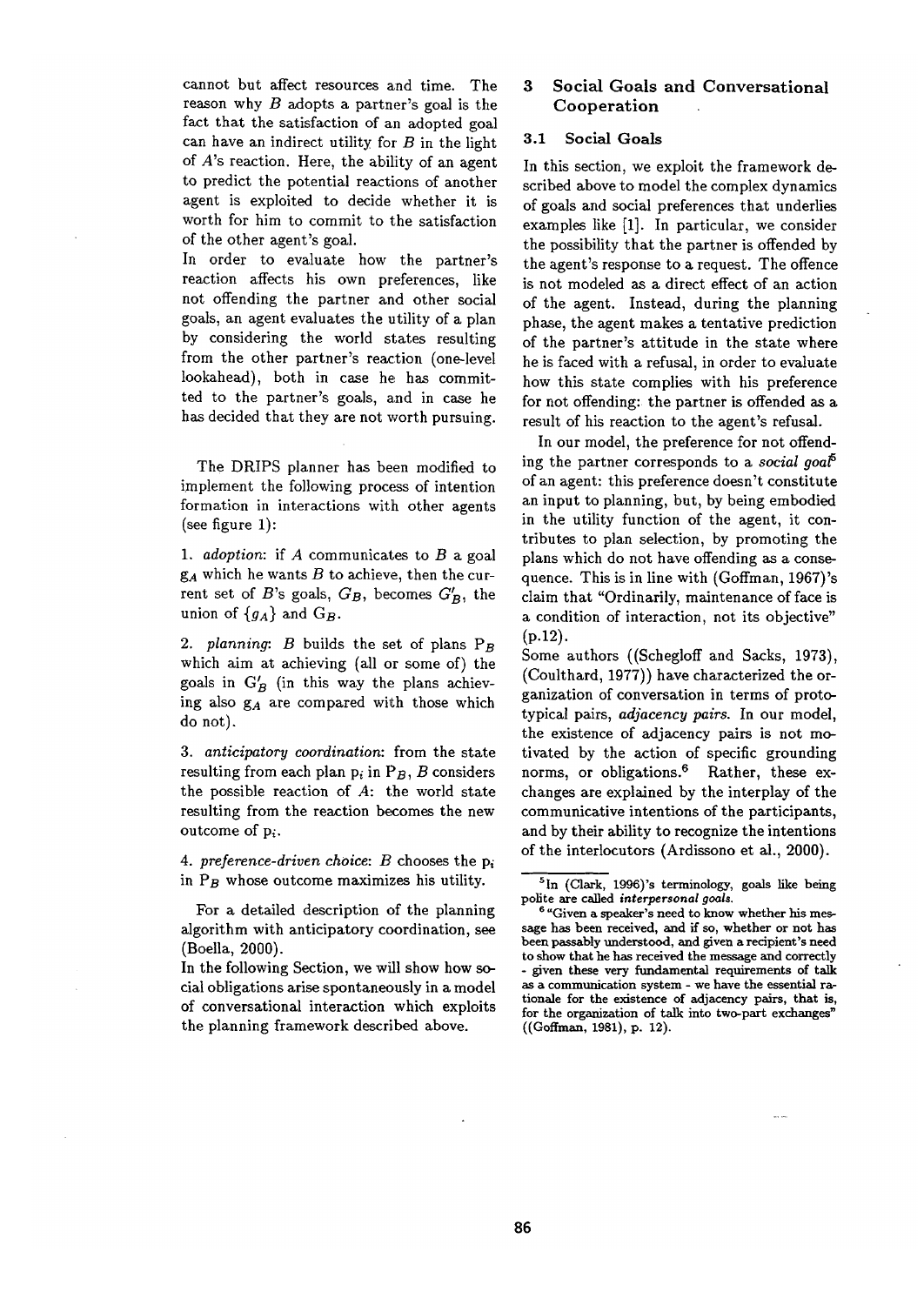cannot but affect resources and time. The reason why  $B$  adopts a partner's goal is the fact that the satisfaction of an adopted goal can have an indirect utility for  $B$  in the light of  $A$ 's reaction. Here, the ability of an agent to predict the potential reactions of another agent is exploited to decide whether it is worth for him to commit to the satisfaction of the other agent's goal.

In order to evaluate how the partner's reaction affects his own preferences, like not offending the partner and other social goals, an agent evaluates the utility of a plan by considering the world states resulting from the other partner's reaction (one-level lookahead), both in case he has committed to the partner's goals, and in case he has decided that they are not worth pursuing.

The DRIPS planner has been modified to implement the following process of intention formation in interactions with other agents (see figure 1):

*1. adoption:* if A communicates to B a goal  $g_A$  which he wants  $B$  to achieve, then the current set of B's goals,  $G_B$ , becomes  $G'_B$ , the union of  ${g_A}$  and  $G_B$ .

2. *planning: B* builds the set of plans  $P_B$ which aim at achieving (all or some of) the goals in  $G'_B$  (in this way the plans achieving also  $g_A$  are compared with those which do not).

*3. anticipatory coordination:* from the state resulting from each plan  $p_i$  in  $P_B$ , B considers the possible reaction of A: the world state resulting from the reaction becomes the new outcome of  $p_i$ .

*4. preference-driven choice: B* chooses the Pi in  $P_B$  whose outcome maximizes his utility.

For a detailed description of the planning algorithm with anticipatory coordination, see (Boella, 2000).

In the following Section, we will show how social obligations arise spontaneously in a model of conversational interaction which exploits the planning framework described above.

# 3 Social Goals and Conversational Cooperation

#### 3.1 Social Goals

In this section, we exploit the framework described above to model the complex dynamics of goals and social preferences that underlies examples like [1]. In particular, we consider the possibility that the partner is offended by the agent's response to a request. The offence is not modeled as a direct effect of an action of the agent. Instead, during the planning phase, the agent makes a tentative prediction of the partner's attitude in the state where he is faced with a refusal, in order to evaluate how this state complies with his preference for not offending: the partner is offended as a result of his reaction to the agent's refusal.

In our model, the preference for not offending the partner corresponds to a *social goal*<sup>5</sup> of an agent: this preference doesn't constitute an input to planning, but, by being embodied in the utility function of the agent, it contributes to plan selection, by promoting the plans which do not have offending as a consequence. This is in line with (Goffman, 1967)'s claim that "Ordinarily, maintenance of face is a condition of interaction, not its objective" (p.12).

Some authors ((Schegloff and Sacks, 1973), (Coulthard, 1977)) have characterized the organization of conversation in terms of prototypical pairs, *adjacency pairs.* In our model, the existence of adjacency pairs is not motivated by the action of specific grounding norms, or obligations.<sup>6</sup> Rather, these exchanges are explained by the interplay of the communicative intentions of the participants, and by their ability to recognize the intentions of the interlocutors (Ardissono et al., 2000).

<sup>&</sup>lt;sup>5</sup>In (Clark, 1996)'s terminology, goals like being polite are called *interpersonal goals.* 

 $6$  "Given a speaker's need to know whether his message has been received, and if so, whether or not has been passably understood, and given a recipient's need to show that he has received the message and correctly **-** given these very fundamental requirements of talk as a communication system - we have the essential rationale for the existence of adjacency pairs, that is, for the organization of talk into two-part exchanges" ((Goffman, 1981), p. 12).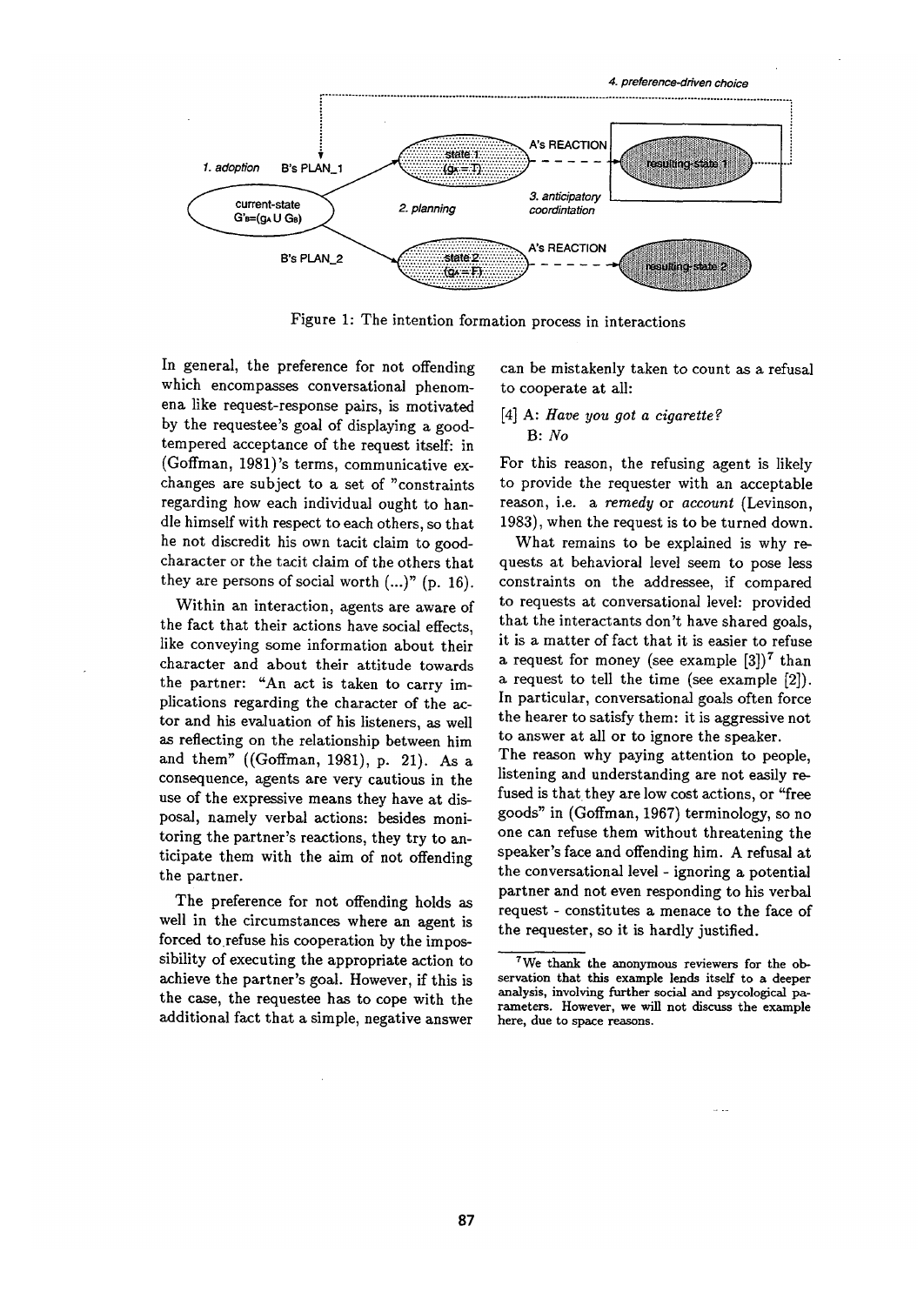

Figure 1: The intention formation process in interactions

In general, the preference for not offending which encompasses conversational phenomena like request-response pairs, is motivated by the requestee's goal of displaying a goodtempered acceptance of the request itself: in (Goffman, 1981)'s terms, communicative exchanges are subject to a set of "constraints regarding how each individual ought to handle himself with respect to each others, so that he not discredit his own tacit claim to goodcharacter or the tacit claim of the others that they are persons of social worth  $(...)$ " (p. 16).

Within an interaction, agents are aware of the fact that their actions have social effects, like conveying some information about their character and about their attitude towards the partner: "An act is taken to carry implications regarding the character of the actor and his evaluation of his listeners, as well as reflecting on the relationship between him and them" ((Goffman, 1981), p. 21). As a consequence, agents are very cautious in the use of the expressive means they have at disposal, namely verbal actions: besides monitoring the partner's reactions, they try to anticipate them with the aim of not offending the partner.

The preference for not offending holds as well in the circumstances where an agent is forced to refuse his cooperation by the impossibility of executing the appropriate action to achieve the partner's goal. However, if this is the case, the requestee has to cope with the additional fact that a simple, negative answer can be mistakenly taken to count as a refusal to cooperate at all:

# [4] A: *Have you got a cigarette?*  **B:** *No*

For this reason, the refusing agent is likely to provide the requester with an acceptable reason, i.e. a *remedy* or *account* (Levinson, 1983), when the request is to be turned down.

What remains to be explained is why requests at behavioral level seem to pose less constraints on the addressee, if compared to requests at conversational level: provided that the interactants don't have shared goals, it is a matter of fact that it is easier to refuse a request for money (see example  $[3]$ )<sup>7</sup> than a request to tell the time (see example [2]). In particular, conversational goals often force the hearer to satisfy them: it is aggressive not to answer at all or to ignore the speaker. The reason why paying attention to people, listening and understanding are not easily refused is that they are low cost actions, or "free goods" in (Goffman, 1967) terminology, so no one can refuse them without threatening the speaker's face and offending him. A refusal at the conversational level - ignoring a potential partner and not even responding to his verbal request - constitutes a menace to the face of the requester, so it is hardly justified.

<sup>7</sup>We thank the anonymous reviewers for the observation that this example lends itself to a deeper analysis, involving further social and psycological parameters. However, we will not discuss the example here, due to space reasons.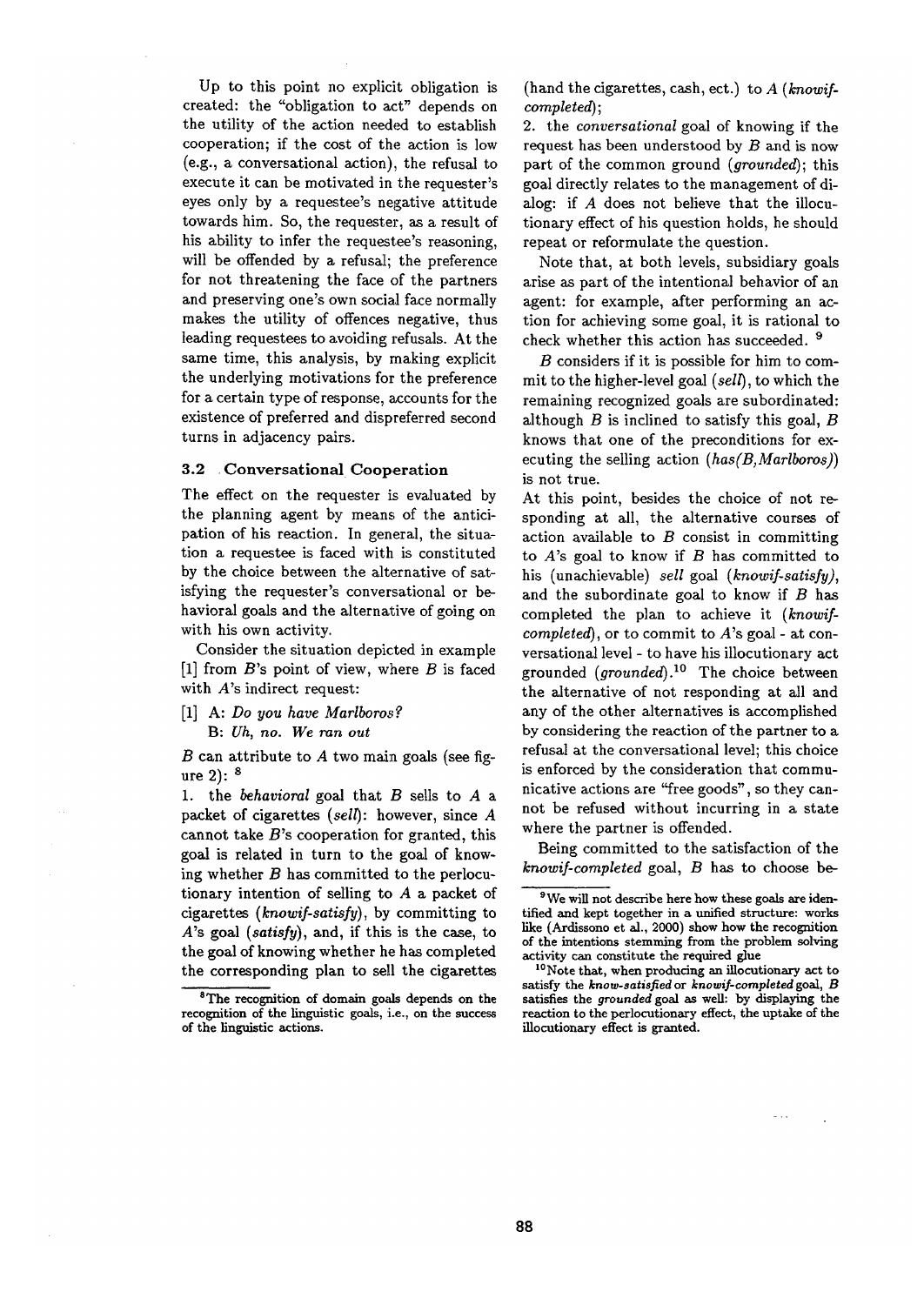Up to this point no explicit obligation is created: the "obligation to act" depends on the utility of the action needed to establish cooperation; if the cost of the action is low  $(e.g., a conversational action), the refusal to$ execute it can be motivated in the requester's eyes only by a requestee's negative attitude towards him. So, the requester, as a result of his ability to infer the requestee's reasoning, will be offended by a refusal; the preference for not threatening the face of the partners and preserving one's own social face normally makes the utility of offences negative, thus leading requestees to avoiding refusals. At the same time, this analysis, by making explicit the underlying motivations for the preference for a certain type of response, accounts for the existence of preferred and dispreferred second turns in adjacency pairs.

#### 3.2 Conversational Cooperation

The effect on the requester is evaluated by the planning agent by means of the anticipation of his reaction. In general, the situation a requestee is faced with is constituted by the choice between the alternative of satisfying the requester's conversational or behavioral goals and the alternative of going on with his own activity.

Consider the situation depicted in example [1] from  $B$ 's point of view, where  $B$  is faced with A's indirect request:

[1] A: *Do you have Marlboros?*  B: *Uh, no. We ran out* 

B can attribute to A two main goals (see figure 2): **s** 

1. the *behavioral* goal that B sells to A a packet of cigarettes *(sell):* however, since A cannot take  $B$ 's cooperation for granted, this goal is related in turn to the goal of knowing whether  $B$  has committed to the perlocutionary intention of selling to  $A$  a packet of cigarettes *(knowif-satisfy),* by committing to A's goal *(satisfy),* and, if this is the case, to the goal of knowing whether he has completed the corresponding plan to sell the cigarettes (hand the cigarettes, cash, ect.) to *A (knowifcompleted);* 

2. the *conversational* goal of knowing if the request has been understood by  $B$  and is now part of the common ground *(grounded);* this goal directly relates to the management of dialog: if A does not believe that the illocutionary effect of his question holds, he should repeat or reformulate the question.

Note that, at both levels, subsidiary goals arise as part of the intentional behavior of an agent: for example, after performing an action for achieving some goal, it is rational to check whether this action has succeeded. 9

B considers if it is possible for him to commit to the higher-level goal *(sell),* to which the remaining recognized goals are subordinated: although  $B$  is inclined to satisfy this goal,  $B$ knows that one of the preconditions for executing the selling action *(has(B, Marlboros))*  is not true.

At this point, besides the choice of not responding at all, the alternative courses of action available to  $B$  consist in committing to  $A$ 's goal to know if  $B$  has committed to his (unachievable) *sell* goal *(knowif-satisfy),*  and the subordinate goal to know if  $B$  has completed the plan to achieve it *(knowifcompleted),* or to commit to A's goal - at conversational level - to have his illocutionary act grounded (*grounded*).<sup>10</sup> The choice between the alternative of not responding at all and any of the other alternatives is accomplished by considering the reaction of the partner to a refusal at the conversational level; this choice is enforced by the consideration that communicative actions are "free goods", so they cannot be refused without incurring in a state where the partner is offended.

Being committed to the satisfaction of the *knowif-cornpleted* goal, B has to choose be-

<sup>8</sup>The recognition of domain goals depends on the recognition of the linguistic goals, i.e., on the success of the linguistic actions.

<sup>9</sup>We will not describe here how these goals are identified and kept together in a unified structure: works like (Ardissono et al., 2000) show how the recognition of the intentions stemming from the problem solving activity can constitute the required glue

<sup>1°</sup>Note that, when producing an illocutionary act to satisfy the *know-satisfied* or *knowif-completed* goal, B satisfies the *grounded* goal as well: by displaying the reaction to the perlocutionary effect, the uptake of the illocutionary effect is granted.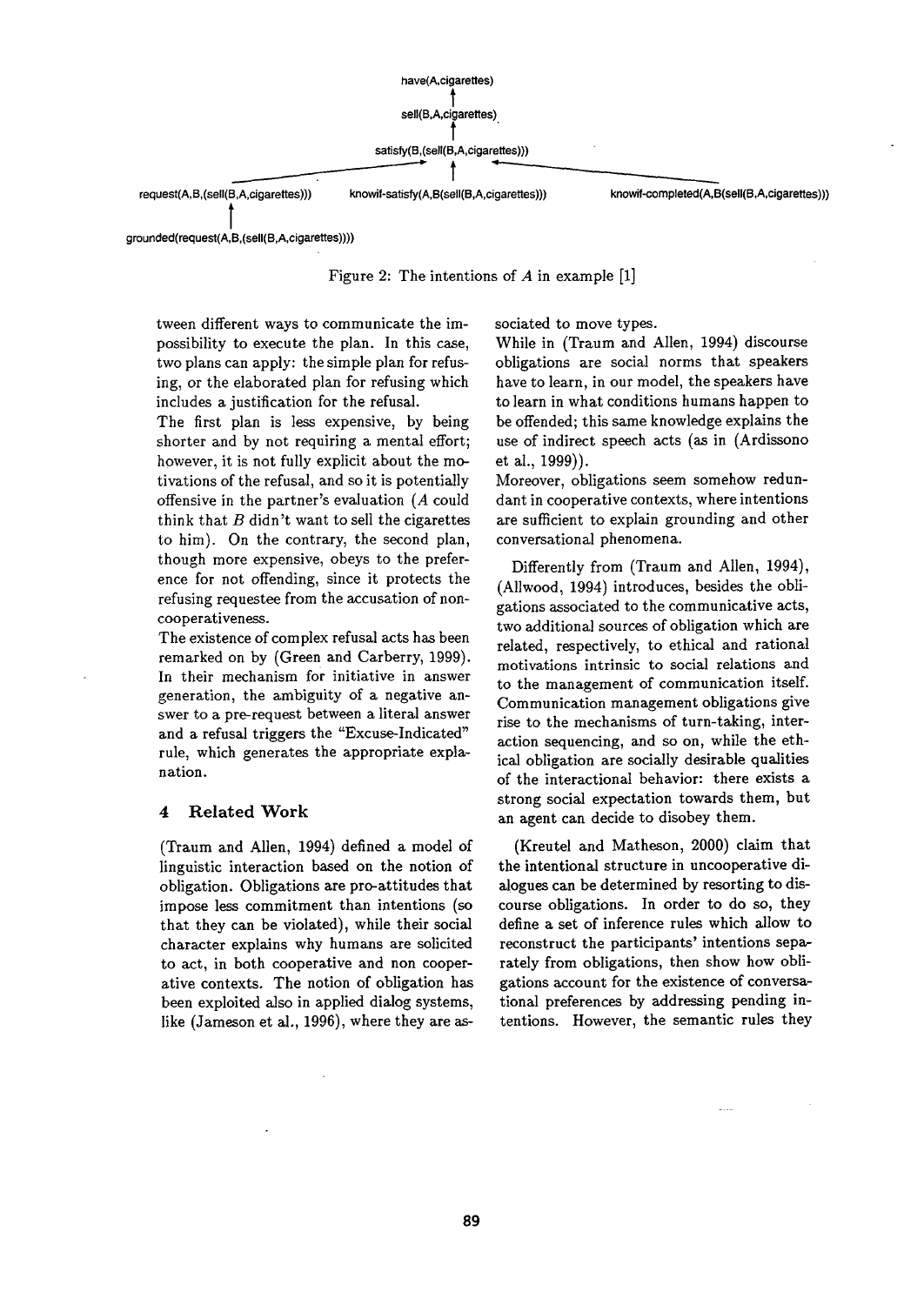

Figure 2: The intentions of  $A$  in example [1]

tween different ways to communicate the impossibility to execute the plan. In this case, two plans can apply: the simple plan for refusing, or the elaborated plan for refusing which includes a justification for the refusal.

The first plan is less expensive, by being shorter and by not requiring a mental effort; however, it is not fully explicit about the motivations of the refusal, and so it is potentially offensive in the partner's evaluation (A could think that  $B$  didn't want to sell the cigarettes to him). On the contrary, the second plan, though more expensive, obeys to the preference for not offending, since it protects the refusing requestee from the accusation of noncooperativeness.

The existence of complex refusal acts has been remarked on by (Green and Carberry, 1999). In their mechanism for initiative in answer generation, the ambiguity of a negative answer to a pre-request between a literal answer and a refusal triggers the "Excuse-Indicated" rule, which generates the appropriate explanation.

# 4 Related Work

(Traum and Allen, 1994) defined a model of linguistic interaction based on the notion of obligation. Obligations are pro-attitudes that impose less commitment than intentions (so that they can be violated), while their social character explains why humans are solicited to act, in both cooperative and non cooperative contexts. The notion of obligation has been exploited also in applied dialog systems, like (Jameson et al., 1996), where they are associated to move types.

While in (Traum and Allen, 1994) discourse obligations are social norms that speakers have to learn, in our model, the speakers have to learn in what conditions humans happen to be offended; this same knowledge explains the use of indirect speech acts (as in (Ardissono et al., 1999)).

Moreover, obligations seem somehow redundant in cooperative contexts, where intentions are sufficient to explain grounding and other conversational phenomena.

Differently from (Traum and Allen, 1994), (Allwood, 1994) introduces, besides the obligations associated to the communicative acts, two additional sources of obligation which are related, respectively, to ethical and rational motivations intrinsic to social relations and to the management of communication itself. Communication management obligations give rise to the mechanisms of turn-taking, interaction sequencing, and so on, while the ethical obligation are socially desirable qualities of the interactional behavior: there exists a strong social expectation towards them, but an agent can decide to disobey them.

(Kreutel and Matheson, 2000) claim that the intentional structure in uncooperative dialogues can be determined by resorting to discourse obligations. In order to do so, they define a set of inference rules which allow to reconstruct the participants' intentions separately from obligations, then show how obligations account for the existence of conversational preferences by addressing pending intentions. However, the semantic rules they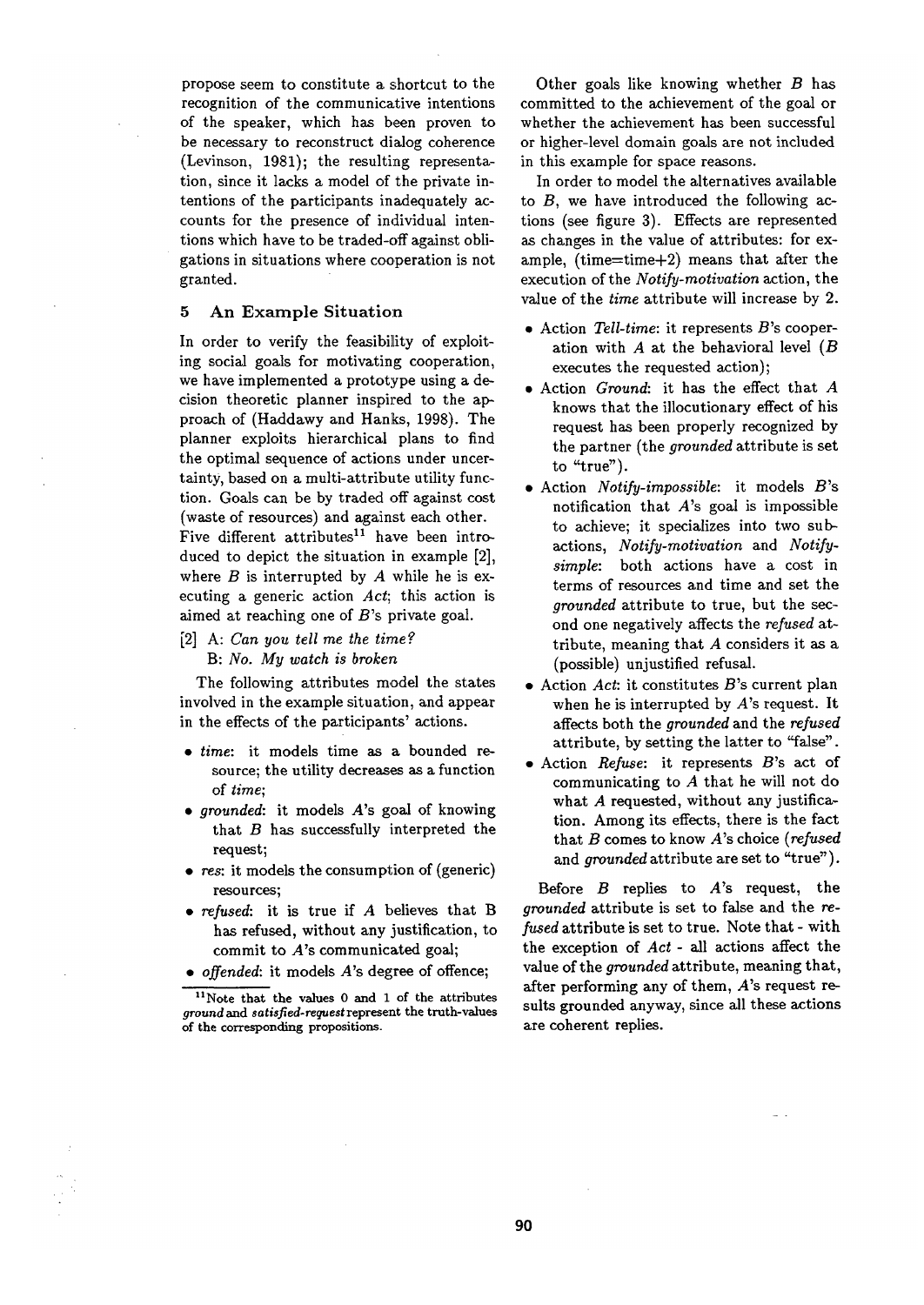propose seem to constitute a shortcut to the recognition of the communicative intentions of the speaker, which has been proven to be necessary to reconstruct dialog coherence (Levinson, 1981); the resulting representation, since it lacks a model of the private intentions of the participants inadequately accounts for the presence of individual intentions which have to be traded-off against obligations in situations where cooperation is not granted.

## 5 An Example Situation

In order to verify the feasibility of exploiting social goals for motivating cooperation, we have implemented a prototype using a decision theoretic planner inspired to the approach of (Haddawy and Hanks, 1998). The planner exploits hierarchical plans to find the optimal sequence of actions under uncertainty, based on a multi-attribute utility function. Goals can be by traded off against cost (waste of resources) and against each other. Five different attributes<sup>11</sup> have been introduced to depict the situation in example [2], where  $B$  is interrupted by  $A$  while he is executing a generic action *Act;* this action is aimed at reaching one of B's private goal.

[2] A: *Can you tell me the time?*  B: *No. My watch is broken* 

The following attributes model the states involved in the example situation, and appear in the effects of the participants' actions.

- *time:* it models time as a bounded resource; the utility decreases as a function of *time;*
- *grounded:* it models A's goal of knowing that  $B$  has successfully interpreted the request;
- res: it models the consumption of (generic) resources;
- *refused:* it is true if A believes that B has refused, without any justification, to commit to A's communicated goal;
- *offended:* it models A's degree of offence;

Other goals like knowing whether B has committed to the achievement of the goal or whether the achievement has been successful or higher-level domain goals are not included in this example for space reasons.

In order to model the alternatives available to  $B$ , we have introduced the following actions (see figure 3). Effects are represented as changes in the value of attributes: for example, (time=time+2) means that after the execution of the *Notify-motivation* action, the value of the *time* attribute will increase by 2.

- Action *Tell-time:* it represents B's cooperation with  $A$  at the behavioral level  $(B)$ executes the requested action);
- Action *Ground:* it has the effect that A knows that the illocutionary effect of his request has been properly recognized by the partner (the *grounded* attribute is set to "true").
- Action *Notify-impossible:* it models B's notification that  $A$ 's goal is impossible to achieve; it specializes into two subactions, *Notify-motivation* and *Notifysimple:* both actions have a cost in terms of resources and time and set the *grounded* attribute to true, but the second one negatively affects the *refused* attribute, meaning that  $A$  considers it as a (possible) unjustified refusal.
- Action *Act:* it constitutes B's current plan when he is interrupted by  $A$ 's request. It affects both the *grounded* and the *refused*  attribute, by setting the latter to "false".
- Action *Refuse:* it represents B's act of communicating to A that he will not do what A requested, without any justification. Among its effects, there is the fact that B comes to know A's choice *(refused*  and *grounded* attribute are set to "true").

Before  $B$  replies to  $A$ 's request, the *grounded* attribute is set to false and the re*fused* attribute is set to true. Note that - with the exception of *Act* - all actions affect the value of the *grounded* attribute, meaning that, after performing any of them, A's request results grounded anyway, since all these actions are coherent replies.

 $11$ Note that the values 0 and 1 of the attributes *ground and satisfied.requestrepresent* the truth-values of the corresponding propositions.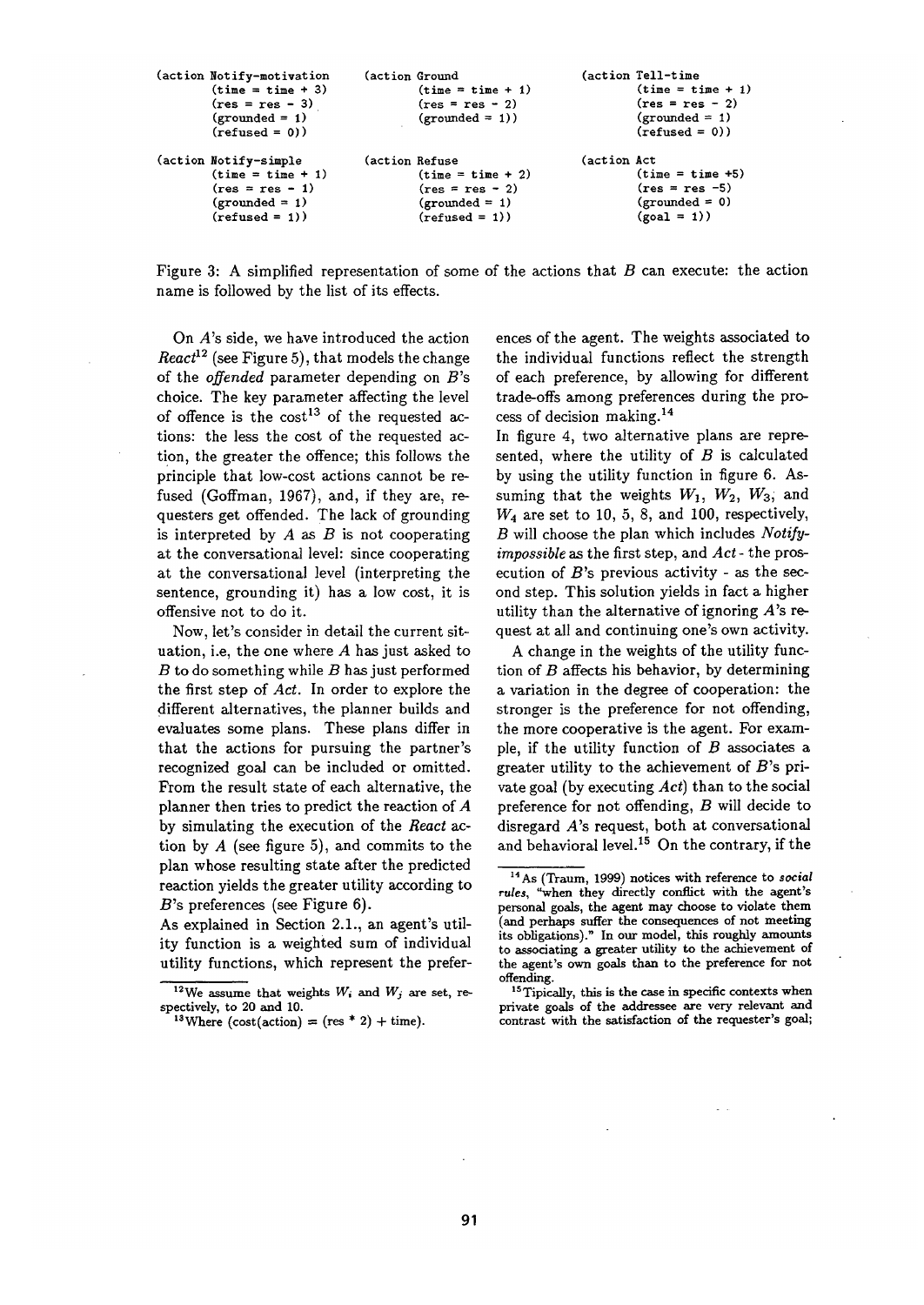| (action Notify-motivation<br>$time = time + 3)$<br>$(res = res - 3)$<br>$(grounded = 1)$<br>$(refused = 0)$ | (action Ground  | $(time = time + 1)$<br>$(res = res - 2)$<br>$(grounded = 1)$                           |              | (action Tell-time)<br>$time = time + 1$<br>$(res = res - 2)$<br>$(\text{grounded} = 1)$<br>$(refused = 0)$ |
|-------------------------------------------------------------------------------------------------------------|-----------------|----------------------------------------------------------------------------------------|--------------|------------------------------------------------------------------------------------------------------------|
| (action Notify-simple)<br>$(time = time + 1)$<br>$(res = res - 1)$<br>$(grounded = 1)$<br>$(refused = 1)$   | (action Refuse) | $(time = time + 2)$<br>$(res = res - 2)$<br>$(\text{grounded} = 1)$<br>$(refused = 1)$ | (action Act) | $(time = time +5)$<br>$(res = res -5)$<br>$(grounded = 0)$<br>$(goal = 1)$                                 |

Figure 3: A simplified representation of some of the actions that  $B$  can execute: the action name is followed by the list of its effects.

On A's side, we have introduced the action *React 12* (see Figure 5), that models the change of the *offended* parameter depending on B's choice. The key parameter affecting the level of offence is the  $cost^{13}$  of the requested actions: the less the cost of the requested action, the greater the offence; this follows the principle that low-cost actions cannot be refused (Goffman, 1967), and, if they are, requesters get offended. The lack of grounding is interpreted by  $A$  as  $B$  is not cooperating at the conversational level: since cooperating at the conversational level (interpreting the sentence, grounding it) has a low cost, it is offensive not to do it.

Now, let's consider in detail the current situation, i.e, the one where  $A$  has just asked to  $B$  to do something while  $B$  has just performed the first step of *Act.* In order to explore the different alternatives, the planner builds and evaluates some plans. These plans differ in that the actions for pursuing the partner's recognized goal can be included or omitted. From the result state of each alternative, the planner then tries to predict the reaction of A by simulating the execution of the *React* action by  $A$  (see figure 5), and commits to the plan whose resulting state after the predicted reaction yields the greater utility according to  $B$ 's preferences (see Figure 6).

As explained in Section 2.1., an agent's utility function is a weighted sum of individual utility functions, which represent the preferences of the agent. The weights associated to the individual functions reflect the strength of each preference, by allowing for different trade-offs among preferences during the process of decision making. 14

In figure 4, two alternative plans are represented, where the utility of  $B$  is calculated by using the utility function in figure 6. Assuming that the weights  $W_1$ ,  $W_2$ ,  $W_3$ , and  $W_4$  are set to 10, 5, 8, and 100, respectively, B will choose the plan which includes *Notifyimpossible as* the first step, and *Act -* the prosecution of  $B$ 's previous activity - as the second step. This solution yields in fact a higher utility than the alternative of ignoring  $A$ 's request at all and continuing one's own activity.

A change in the weights of the utility function of  $B$  affects his behavior, by determining a variation in the degree of cooperation: the stronger is the preference for not offending, the more cooperative is the agent. For example, if the utility function of  $B$  associates a greater utility to the achievement of  $B$ 's private goal (by executing *Act)* than to the social preference for not offending, B will decide to disregard A's request, both at conversational and behavioral level.<sup>15</sup> On the contrary, if the

<sup>&</sup>lt;sup>12</sup>We assume that weights  $W_i$  and  $W_j$  are set, respectively, to 20 and 10.

<sup>&</sup>lt;sup>13</sup>Where (cost(action) = (res \* 2) + time).

<sup>14</sup> As (Traum, 1999) notices with reference to *social rules,* "when they directly conflict with the agent's personal goals, the agent may choose to violate them (and perhaps suffer the consequences of not meeting its obligations)." In our model, this roughly amounts to associating a greater utility to the achievement of the agent's own goals than to the preference for not offending.

<sup>&</sup>lt;sup>15</sup>Tipically, this is the case in specific contexts when private goals of the addressee are very relevant and contrast with the satisfaction of the requester's goal;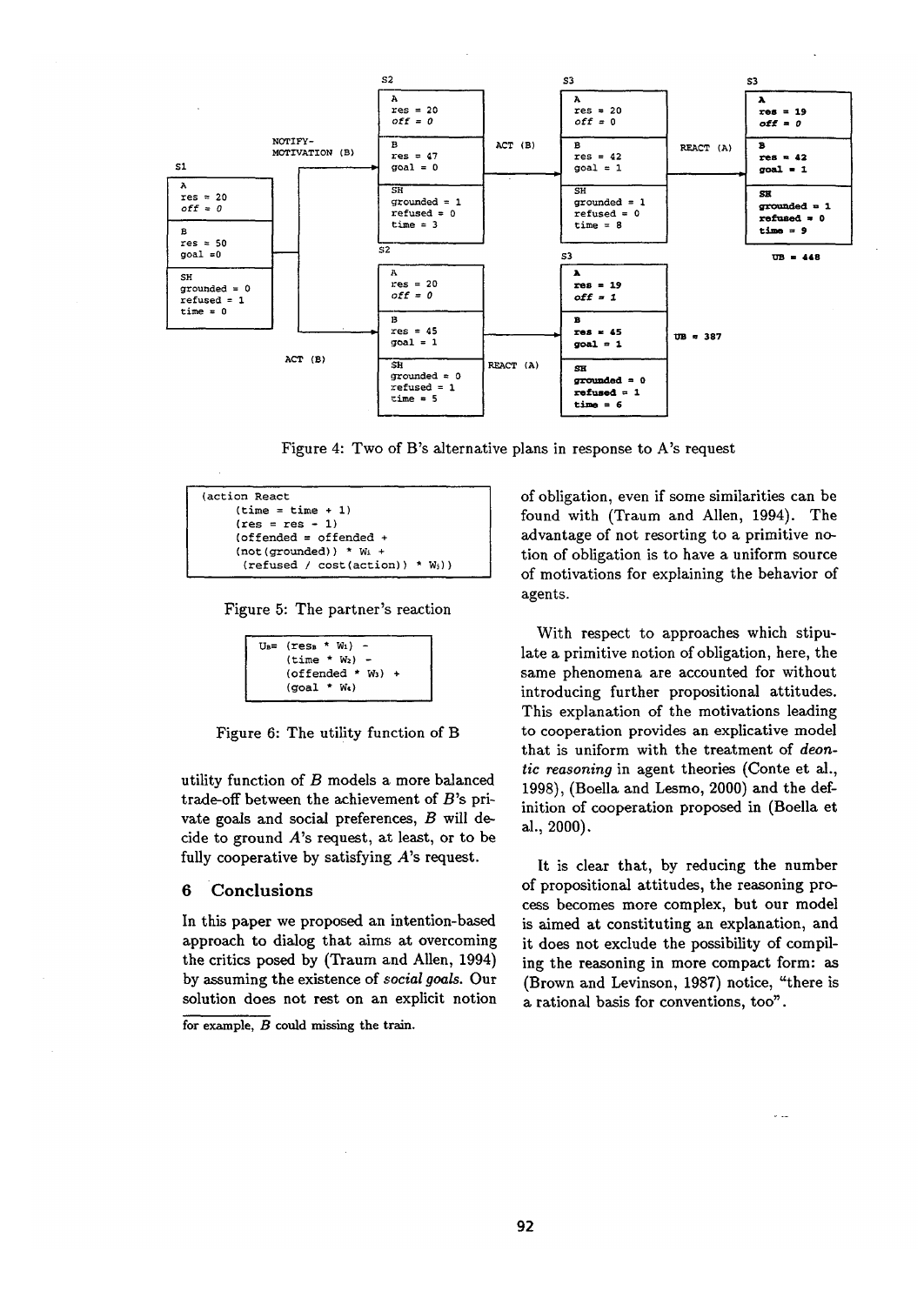

**Figure 4: Two of B's alternative plans in response to A's request** 

```
(action React 
(time = time + 1){tree = res - 1}(offended = offended + 
(not(grounded)) * Wi + 
 (refused / cost(action)) * W<sub>j</sub>)
```
**Figure 5: The partner's reaction** 

| $U_B = (res_B * W_1)$               |  |
|-------------------------------------|--|
| $(time * W_2) -$                    |  |
| $(offended * W_3)$<br>$\rightarrow$ |  |
| $(goal * Ws)$                       |  |

Figure 6: The utility function of B

**utility function of B models a more balanced**  trade-off between the achievement of B's private goals and social preferences, B will de**cide to ground A's request, at least, or to be fully cooperative by satisfying A's request.** 

#### **6 Conclusions**

**In this paper we proposed an intention-based approach to dialog that aims at overcoming the critics posed by (Traum and Allen, 1994) by assuming the existence of** *social goals.* **Our solution does not rest on an explicit notion** 

**for example, B could missing the** train.

**of obligation, even if some similarities can be found with (Traum and Allen, 1994). The advantage of not resorting to a primitive notion of obligation is to have a uniform source of motivations for explaining the behavior of agents.** 

**With respect to approaches which stipulate a primitive notion of obligation, here, the same phenomena are accounted for without introducing further propositional attitudes. This explanation of the motivations leading to cooperation provides an explicative model that is uniform with the treatment of** *deontic reasoning* **in agent theories (Conte et al., 1998), (Boella and Lesmo, 2000) and the definition of cooperation proposed in (Boella et al., 2000).** 

**It is clear that, by reducing the number of propositional attitudes, the reasoning process becomes more complex, but our model is aimed at constituting an explanation, and it does not exclude the possibility of compiling the reasoning in more compact form: as (Brown and Levinson, 1987) notice, %here is a rational basis for conventions, too".**